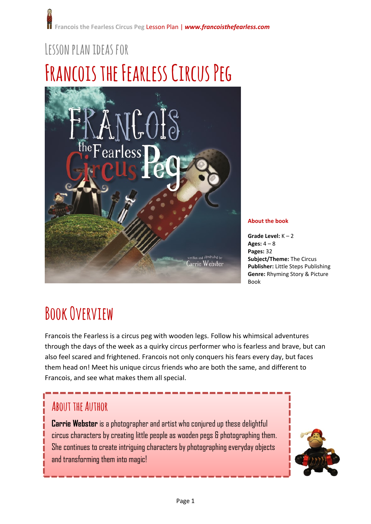# **Lessonplanideas for Francois the Fearless Circus Peg**



**About the book**

**Grade Level:** K – 2 **Ages:** 4 – 8 **Pages:** 32 **Subject/Theme:** The Circus **Publisher:** Little Steps Publishing **Genre:** Rhyming Story & Picture Book

### **Book Overview**

Francois the Fearless is a circus peg with wooden legs. Follow his whimsical adventures through the days of the week as a quirky circus performer who is fearless and brave, but can also feel scared and frightened. Francois not only conquers his fears every day, but faces them head on! Meet his unique circus friends who are both the same, and different to Francois, and see what makes them all special.

#### **About the Author**

**Carrie Webster** is a photographer and artist who conjured up these delightful circus characters by creating little people as wooden pegs & photographing them. She continues to create intriguing characters by photographing everyday objects and transforming them into magic!

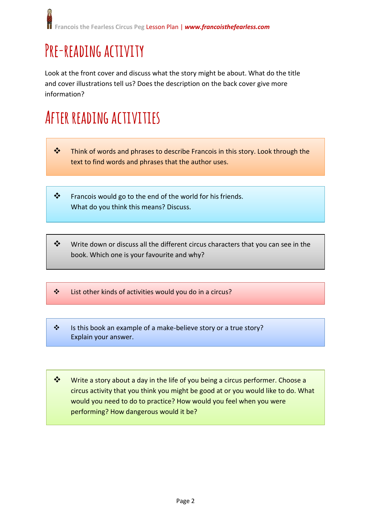## **Pre-reading activity**

Look at the front cover and discuss what the story might be about. What do the title and cover illustrations tell us? Does the description on the back cover give more information?

#### **After readingactivities**

- \* Think of words and phrases to describe Francois in this story. Look through the text to find words and phrases that the author uses.
- $\mathbf{\hat{P}}$  Francois would go to the end of the world for his friends. What do you think this means? Discuss.
- $*$  Write down or discuss all the different circus characters that you can see in the book. Which one is your favourite and why?
- List other kinds of activities would you do in a circus?
- ❖ Is this book an example of a make-believe story or a true story? Explain your answer.
- ❖ Write a story about a day in the life of you being a circus performer. Choose a circus activity that you think you might be good at or you would like to do. What would you need to do to practice? How would you feel when you were performing? How dangerous would it be?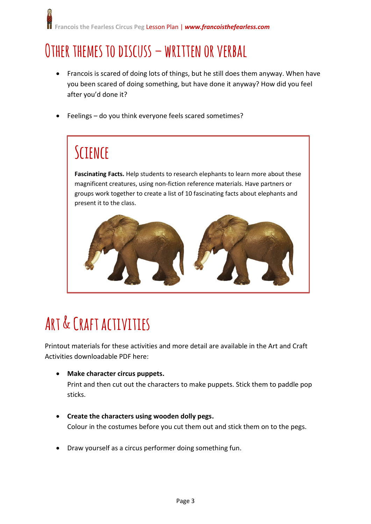#### **Other themes to discuss – written or verbal**

- Francois is scared of doing lots of things, but he still does them anyway. When have you been scared of doing something, but have done it anyway? How did you feel after you'd done it?
- Feelings do you think everyone feels scared sometimes?

#### **Science**

**Fascinating Facts.** Help students to research elephants to learn more about these magnificent creatures, using non-fiction reference materials. Have partners or groups work together to create a list of 10 fascinating facts about elephants and present it to the class.



### **Art & Craftactivities**

Printout materials for these activities and more detail are available in the Art and Craft Activities downloadable PDF here:

- **Make character circus puppets.** Print and then cut out the characters to make puppets. Stick them to paddle pop sticks.
- **Create the characters using wooden dolly pegs.** Colour in the costumes before you cut them out and stick them on to the pegs.
- Draw yourself as a circus performer doing something fun.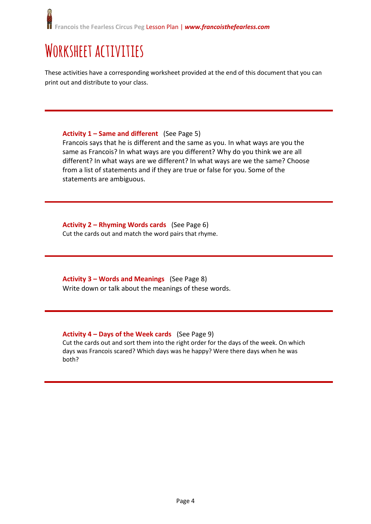#### **Worksheet activities**

These activities have a corresponding worksheet provided at the end of this document that you can print out and distribute to your class.

#### **Activity 1 – Same and different** (See Page 5)

Francois says that he is different and the same as you. In what ways are you the same as Francois? In what ways are you different? Why do you think we are all different? In what ways are we different? In what ways are we the same? Choose from a list of statements and if they are true or false for you. Some of the statements are ambiguous.

**Activity 2 – Rhyming Words cards** (See Page 6) Cut the cards out and match the word pairs that rhyme.

**Activity 3 – Words and Meanings** (See Page 8) Write down or talk about the meanings of these words.

#### **Activity 4 – Days of the Week cards** (See Page 9)

Cut the cards out and sort them into the right order for the days of the week. On which days was Francois scared? Which days was he happy? Were there days when he was both?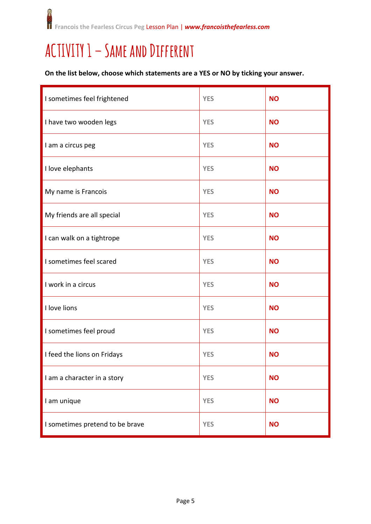**CANNOT Francois the Fearless Circus Peg** Lesson Plan | *www.francoisthefearless.com*

#### **ACTIVITY1 – Same and Different**

**On the list below, choose which statements are a YES or NO by ticking your answer.**

| I sometimes feel frightened     | <b>YES</b> | <b>NO</b> |
|---------------------------------|------------|-----------|
| I have two wooden legs          | <b>YES</b> | <b>NO</b> |
| I am a circus peg               | <b>YES</b> | <b>NO</b> |
| I love elephants                | <b>YES</b> | <b>NO</b> |
| My name is Francois             | <b>YES</b> | <b>NO</b> |
| My friends are all special      | <b>YES</b> | <b>NO</b> |
| I can walk on a tightrope       | <b>YES</b> | <b>NO</b> |
| I sometimes feel scared         | <b>YES</b> | <b>NO</b> |
| I work in a circus              | <b>YES</b> | <b>NO</b> |
| I love lions                    | <b>YES</b> | <b>NO</b> |
| I sometimes feel proud          | <b>YES</b> | <b>NO</b> |
| I feed the lions on Fridays     | <b>YES</b> | <b>NO</b> |
| I am a character in a story     | <b>YES</b> | <b>NO</b> |
| I am unique                     | <b>YES</b> | <b>NO</b> |
| I sometimes pretend to be brave | <b>YES</b> | <b>NO</b> |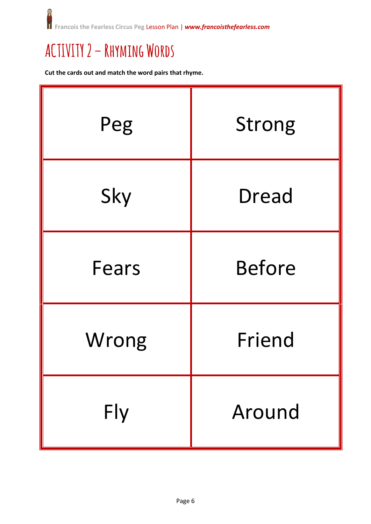$\mathbf{C}$ iĝi **Francois the Fearless Circus Peg** Lesson Plan | *www.francoisthefearless.com*

#### **ACTIVITY 2 – Rhyming Words**

**Cut the cards out and match the word pairs that rhyme.**

| Peg   | <b>Strong</b> |
|-------|---------------|
| Sky   | <b>Dread</b>  |
| Fears | <b>Before</b> |
| Wrong | Friend        |
| Fly   | Around        |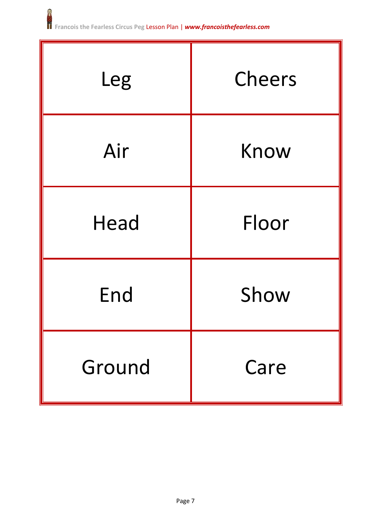| Leg         | Cheers |  |
|-------------|--------|--|
| Air         | Know   |  |
| <b>Head</b> | Floor  |  |
| End         | Show   |  |
| Ground      | Care   |  |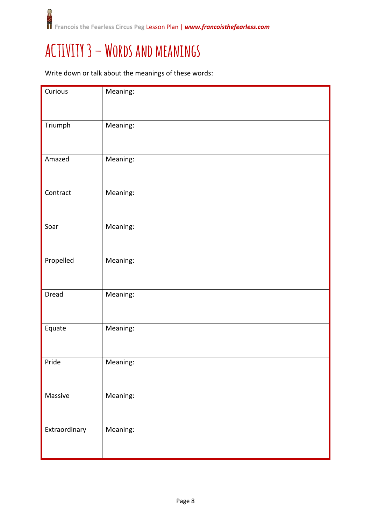#### **ACTIVITY 3 – Words and meanings**

Write down or talk about the meanings of these words:

| Curious       | Meaning: |
|---------------|----------|
| Triumph       | Meaning: |
| Amazed        | Meaning: |
| Contract      | Meaning: |
| Soar          | Meaning: |
| Propelled     | Meaning: |
| Dread         | Meaning: |
| Equate        | Meaning: |
| Pride         | Meaning: |
| Massive       | Meaning: |
| Extraordinary | Meaning: |